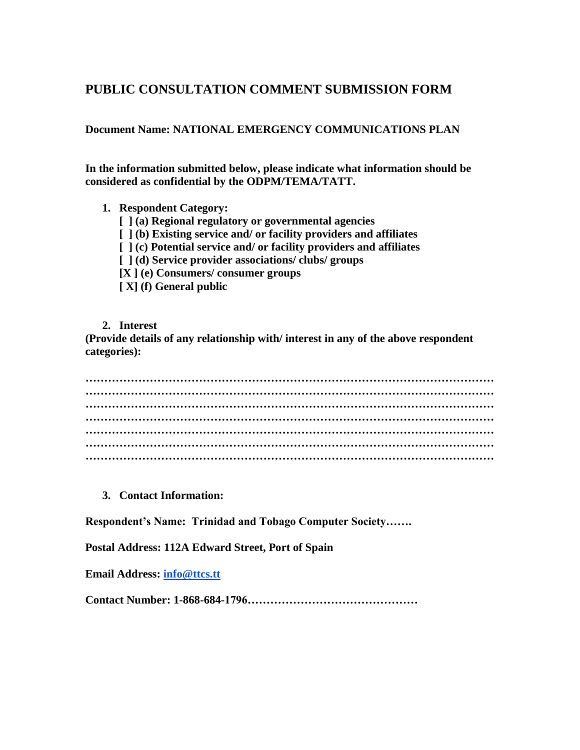## **PUBLIC CONSULTATION COMMENT SUBMISSION FORM**

**Document Name: NATIONAL EMERGENCY COMMUNICATIONS PLAN**

**In the information submitted below, please indicate what information should be considered as confidential by the ODPM/TEMA/TATT.**

- **1. Respondent Category:**
	- **[ ] (a) Regional regulatory or governmental agencies**
	- **[ ] (b) Existing service and/ or facility providers and affiliates**
	- **[ ] (c) Potential service and/ or facility providers and affiliates**
	- **[ ] (d) Service provider associations/ clubs/ groups**
	- **[X ] (e) Consumers/ consumer groups**
	- **[ X] (f) General public**
- **2. Interest**

**(Provide details of any relationship with/ interest in any of the above respondent categories):**

**……………………………………………………………………………………………… ……………………………………………………………………………………………… ……………………………………………………………………………………………… ……………………………………………………………………………………………… ……………………………………………………………………………………………… ……………………………………………………………………………………………… ………………………………………………………………………………………………**

**3. Contact Information:**

**Respondent's Name: Trinidad and Tobago Computer Society…….**

**Postal Address: 112A Edward Street, Port of Spain**

**Email Address: [info@ttcs.tt](mailto:info@ttcs.tt)**

**Contact Number: 1-868-684-1796………………………………………**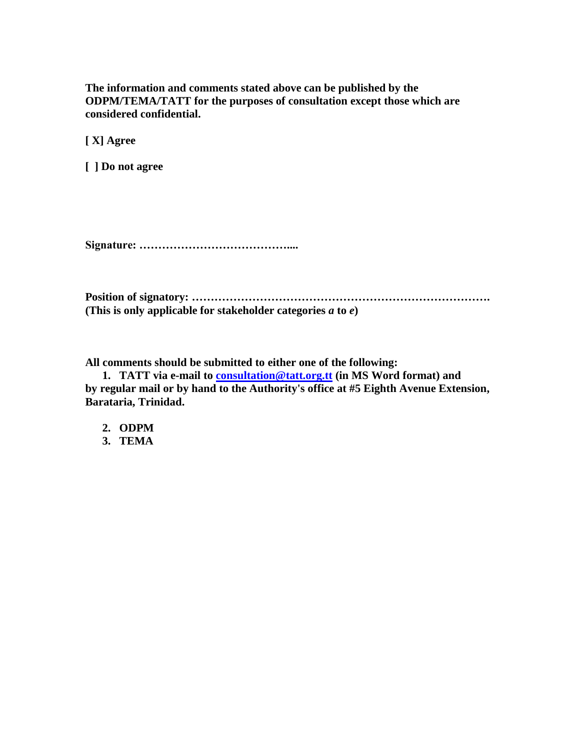**The information and comments stated above can be published by the ODPM/TEMA/TATT for the purposes of consultation except those which are considered confidential.**

**[ X] Agree**

**[ ] Do not agree**

**Signature: …………………………………....**

**Position of signatory: ……………………………………………………………………. (This is only applicable for stakeholder categories** *a* **to** *e***)**

**All comments should be submitted to either one of the following:**

**1. TATT via e-mail to [consultation@tatt.org.tt](mailto:consultation@tatt.org.tt) (in MS Word format) and by regular mail or by hand to the Authority's office at #5 Eighth Avenue Extension, Barataria, Trinidad.**

**2. ODPM**

**3. TEMA**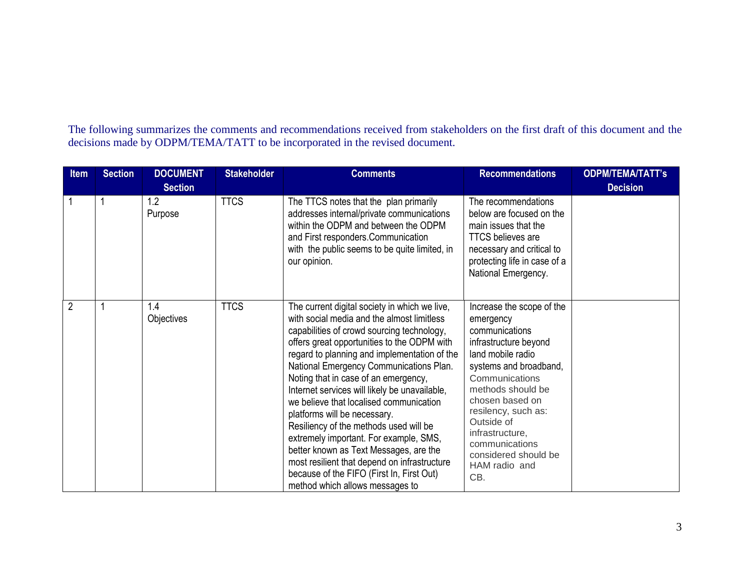The following summarizes the comments and recommendations received from stakeholders on the first draft of this document and the decisions made by ODPM/TEMA/TATT to be incorporated in the revised document.

| <b>Item</b>    | <b>Section</b> | <b>DOCUMENT</b>   | <b>Stakeholder</b> | <b>Comments</b>                                                                                                                                                                                                                                                                                                                                                                                                                                                                                                                                                                                                                                                                                                       | <b>Recommendations</b>                                                                                                                                                                                                                                                                                               | <b>ODPM/TEMA/TATT's</b> |
|----------------|----------------|-------------------|--------------------|-----------------------------------------------------------------------------------------------------------------------------------------------------------------------------------------------------------------------------------------------------------------------------------------------------------------------------------------------------------------------------------------------------------------------------------------------------------------------------------------------------------------------------------------------------------------------------------------------------------------------------------------------------------------------------------------------------------------------|----------------------------------------------------------------------------------------------------------------------------------------------------------------------------------------------------------------------------------------------------------------------------------------------------------------------|-------------------------|
|                |                | <b>Section</b>    |                    |                                                                                                                                                                                                                                                                                                                                                                                                                                                                                                                                                                                                                                                                                                                       |                                                                                                                                                                                                                                                                                                                      | <b>Decision</b>         |
|                |                | 1.2<br>Purpose    | <b>TTCS</b>        | The TTCS notes that the plan primarily<br>addresses internal/private communications<br>within the ODPM and between the ODPM<br>and First responders.Communication<br>with the public seems to be quite limited, in<br>our opinion.                                                                                                                                                                                                                                                                                                                                                                                                                                                                                    | The recommendations<br>below are focused on the<br>main issues that the<br><b>TTCS believes are</b><br>necessary and critical to<br>protecting life in case of a<br>National Emergency.                                                                                                                              |                         |
| $\overline{2}$ |                | 1.4<br>Objectives | <b>TTCS</b>        | The current digital society in which we live,<br>with social media and the almost limitless<br>capabilities of crowd sourcing technology,<br>offers great opportunities to the ODPM with<br>regard to planning and implementation of the<br>National Emergency Communications Plan.<br>Noting that in case of an emergency,<br>Internet services will likely be unavailable,<br>we believe that localised communication<br>platforms will be necessary.<br>Resiliency of the methods used will be<br>extremely important. For example, SMS,<br>better known as Text Messages, are the<br>most resilient that depend on infrastructure<br>because of the FIFO (First In, First Out)<br>method which allows messages to | Increase the scope of the<br>emergency<br>communications<br>infrastructure beyond<br>land mobile radio<br>systems and broadband,<br>Communications<br>methods should be<br>chosen based on<br>resilency, such as:<br>Outside of<br>infrastructure,<br>communications<br>considered should be<br>HAM radio and<br>CB. |                         |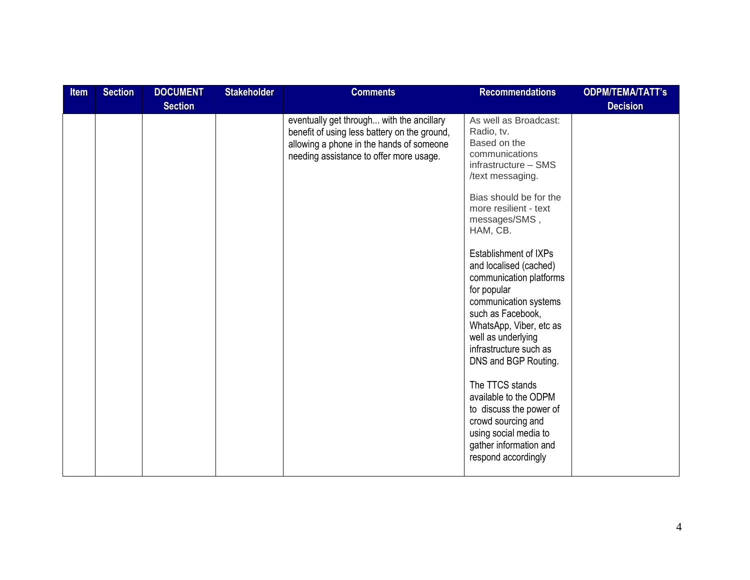| Item | <b>Section</b> | <b>DOCUMENT</b> | <b>Stakeholder</b> | <b>Comments</b>                                                                                                                                                                  | <b>Recommendations</b>                                                                                                                                                                                                                                                                                                                                                                                                                                                                                                                                                                                                        | <b>ODPM/TEMA/TATT's</b> |
|------|----------------|-----------------|--------------------|----------------------------------------------------------------------------------------------------------------------------------------------------------------------------------|-------------------------------------------------------------------------------------------------------------------------------------------------------------------------------------------------------------------------------------------------------------------------------------------------------------------------------------------------------------------------------------------------------------------------------------------------------------------------------------------------------------------------------------------------------------------------------------------------------------------------------|-------------------------|
|      |                | <b>Section</b>  |                    |                                                                                                                                                                                  |                                                                                                                                                                                                                                                                                                                                                                                                                                                                                                                                                                                                                               | <b>Decision</b>         |
|      |                |                 |                    | eventually get through with the ancillary<br>benefit of using less battery on the ground,<br>allowing a phone in the hands of someone<br>needing assistance to offer more usage. | As well as Broadcast:<br>Radio, tv.<br>Based on the<br>communications<br>infrastructure - SMS<br>/text messaging.<br>Bias should be for the<br>more resilient - text<br>messages/SMS,<br>HAM, CB.<br><b>Establishment of IXPs</b><br>and localised (cached)<br>communication platforms<br>for popular<br>communication systems<br>such as Facebook,<br>WhatsApp, Viber, etc as<br>well as underlying<br>infrastructure such as<br>DNS and BGP Routing.<br>The TTCS stands<br>available to the ODPM<br>to discuss the power of<br>crowd sourcing and<br>using social media to<br>gather information and<br>respond accordingly |                         |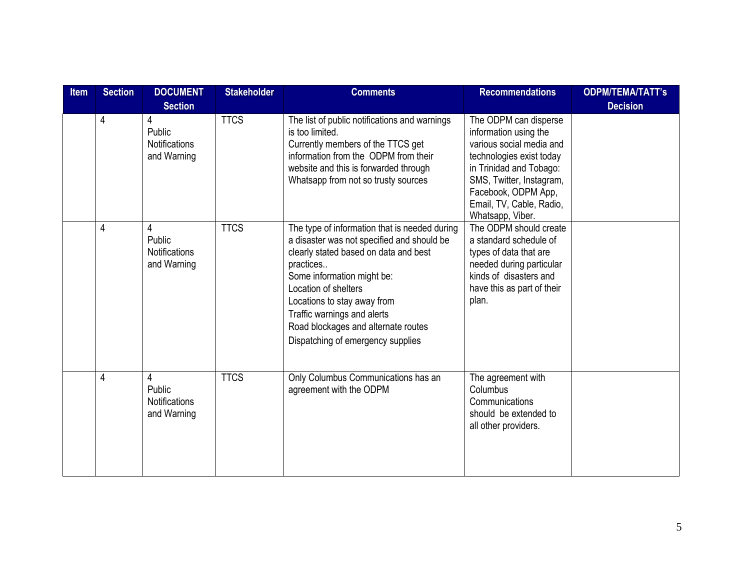| <b>Item</b> | <b>Section</b> | <b>DOCUMENT</b>                                    | <b>Stakeholder</b> | <b>Comments</b>                                                                                                                                                                                                                                                                                                                                   | <b>Recommendations</b>                                                                                                                                                                                                               | <b>ODPM/TEMA/TATT's</b> |
|-------------|----------------|----------------------------------------------------|--------------------|---------------------------------------------------------------------------------------------------------------------------------------------------------------------------------------------------------------------------------------------------------------------------------------------------------------------------------------------------|--------------------------------------------------------------------------------------------------------------------------------------------------------------------------------------------------------------------------------------|-------------------------|
|             |                | <b>Section</b>                                     |                    |                                                                                                                                                                                                                                                                                                                                                   |                                                                                                                                                                                                                                      | <b>Decision</b>         |
|             | $\overline{4}$ | 4<br>Public<br><b>Notifications</b><br>and Warning | <b>TTCS</b>        | The list of public notifications and warnings<br>is too limited.<br>Currently members of the TTCS get<br>information from the ODPM from their<br>website and this is forwarded through<br>Whatsapp from not so trusty sources                                                                                                                     | The ODPM can disperse<br>information using the<br>various social media and<br>technologies exist today<br>in Trinidad and Tobago:<br>SMS, Twitter, Instagram,<br>Facebook, ODPM App,<br>Email, TV, Cable, Radio,<br>Whatsapp, Viber. |                         |
|             | 4              | 4<br>Public<br><b>Notifications</b><br>and Warning | <b>TTCS</b>        | The type of information that is needed during<br>a disaster was not specified and should be<br>clearly stated based on data and best<br>practices<br>Some information might be:<br>Location of shelters<br>Locations to stay away from<br>Traffic warnings and alerts<br>Road blockages and alternate routes<br>Dispatching of emergency supplies | The ODPM should create<br>a standard schedule of<br>types of data that are<br>needed during particular<br>kinds of disasters and<br>have this as part of their<br>plan.                                                              |                         |
|             | 4              | 4<br>Public<br><b>Notifications</b><br>and Warning | <b>TTCS</b>        | Only Columbus Communications has an<br>agreement with the ODPM                                                                                                                                                                                                                                                                                    | The agreement with<br>Columbus<br>Communications<br>should be extended to<br>all other providers.                                                                                                                                    |                         |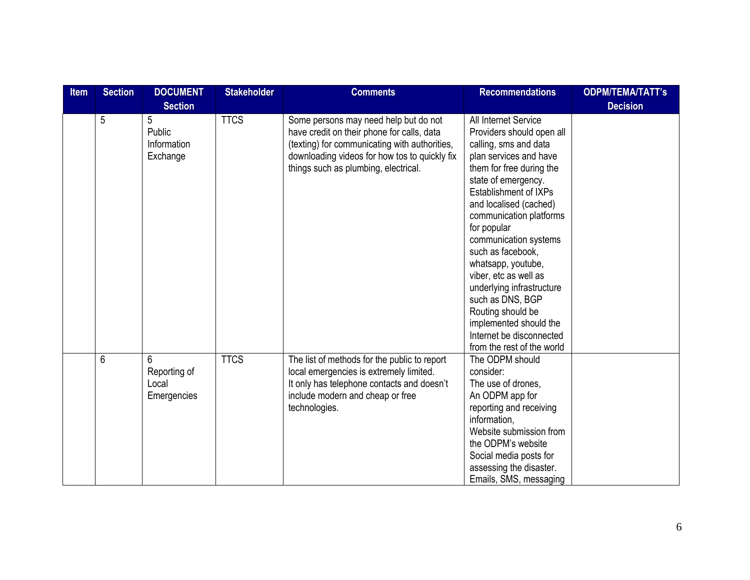| <b>Item</b> | <b>Section</b> | <b>DOCUMENT</b>                           | <b>Stakeholder</b> | <b>Comments</b>                                                                                                                                                                                                               | <b>Recommendations</b>                                                                                                                                                                                                                                                                                                                                                                                                                                                                                      | <b>ODPM/TEMA/TATT's</b> |
|-------------|----------------|-------------------------------------------|--------------------|-------------------------------------------------------------------------------------------------------------------------------------------------------------------------------------------------------------------------------|-------------------------------------------------------------------------------------------------------------------------------------------------------------------------------------------------------------------------------------------------------------------------------------------------------------------------------------------------------------------------------------------------------------------------------------------------------------------------------------------------------------|-------------------------|
|             |                | <b>Section</b>                            |                    |                                                                                                                                                                                                                               |                                                                                                                                                                                                                                                                                                                                                                                                                                                                                                             | <b>Decision</b>         |
|             | 5              | 5<br>Public<br>Information<br>Exchange    | <b>TTCS</b>        | Some persons may need help but do not<br>have credit on their phone for calls, data<br>(texting) for communicating with authorities,<br>downloading videos for how tos to quickly fix<br>things such as plumbing, electrical. | All Internet Service<br>Providers should open all<br>calling, sms and data<br>plan services and have<br>them for free during the<br>state of emergency.<br>Establishment of IXPs<br>and localised (cached)<br>communication platforms<br>for popular<br>communication systems<br>such as facebook.<br>whatsapp, youtube,<br>viber, etc as well as<br>underlying infrastructure<br>such as DNS, BGP<br>Routing should be<br>implemented should the<br>Internet be disconnected<br>from the rest of the world |                         |
|             | 6              | 6<br>Reporting of<br>Local<br>Emergencies | <b>TTCS</b>        | The list of methods for the public to report<br>local emergencies is extremely limited.<br>It only has telephone contacts and doesn't<br>include modern and cheap or free<br>technologies.                                    | The ODPM should<br>consider:<br>The use of drones,<br>An ODPM app for<br>reporting and receiving<br>information.<br>Website submission from<br>the ODPM's website<br>Social media posts for<br>assessing the disaster.<br>Emails, SMS, messaging                                                                                                                                                                                                                                                            |                         |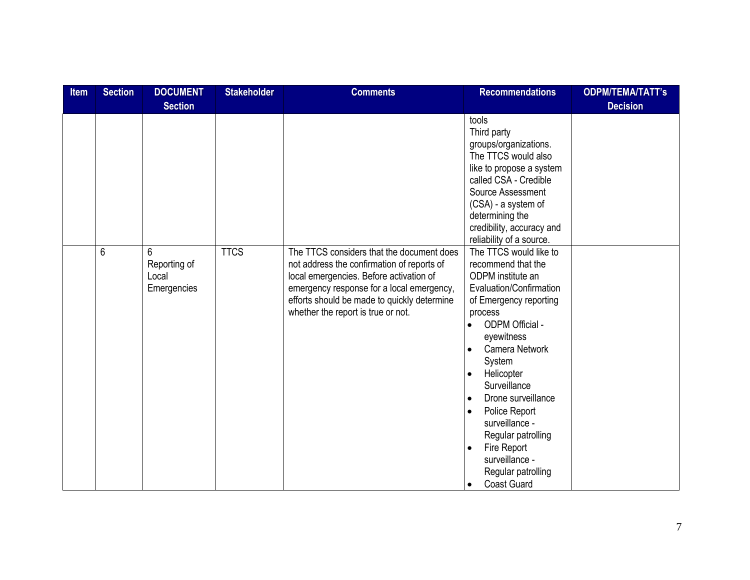| <b>Item</b> | <b>Section</b> | <b>DOCUMENT</b>                           | <b>Stakeholder</b> | <b>Comments</b>                                                                                                                                                                                                                                                      | <b>Recommendations</b>                                                                                                                                                                                                                                                                                                                                                                                             | <b>ODPM/TEMA/TATT's</b> |
|-------------|----------------|-------------------------------------------|--------------------|----------------------------------------------------------------------------------------------------------------------------------------------------------------------------------------------------------------------------------------------------------------------|--------------------------------------------------------------------------------------------------------------------------------------------------------------------------------------------------------------------------------------------------------------------------------------------------------------------------------------------------------------------------------------------------------------------|-------------------------|
|             |                | <b>Section</b>                            |                    |                                                                                                                                                                                                                                                                      |                                                                                                                                                                                                                                                                                                                                                                                                                    | <b>Decision</b>         |
|             |                |                                           |                    |                                                                                                                                                                                                                                                                      | tools<br>Third party<br>groups/organizations.<br>The TTCS would also<br>like to propose a system<br>called CSA - Credible<br>Source Assessment<br>(CSA) - a system of<br>determining the<br>credibility, accuracy and<br>reliability of a source.                                                                                                                                                                  |                         |
|             | 6              | 6<br>Reporting of<br>Local<br>Emergencies | <b>TTCS</b>        | The TTCS considers that the document does<br>not address the confirmation of reports of<br>local emergencies. Before activation of<br>emergency response for a local emergency,<br>efforts should be made to quickly determine<br>whether the report is true or not. | The TTCS would like to<br>recommend that the<br>ODPM institute an<br>Evaluation/Confirmation<br>of Emergency reporting<br>process<br>ODPM Official -<br>eyewitness<br>Camera Network<br>System<br>Helicopter<br>$\bullet$<br>Surveillance<br>Drone surveillance<br>Police Report<br>surveillance -<br>Regular patrolling<br>Fire Report<br>surveillance -<br>Regular patrolling<br><b>Coast Guard</b><br>$\bullet$ |                         |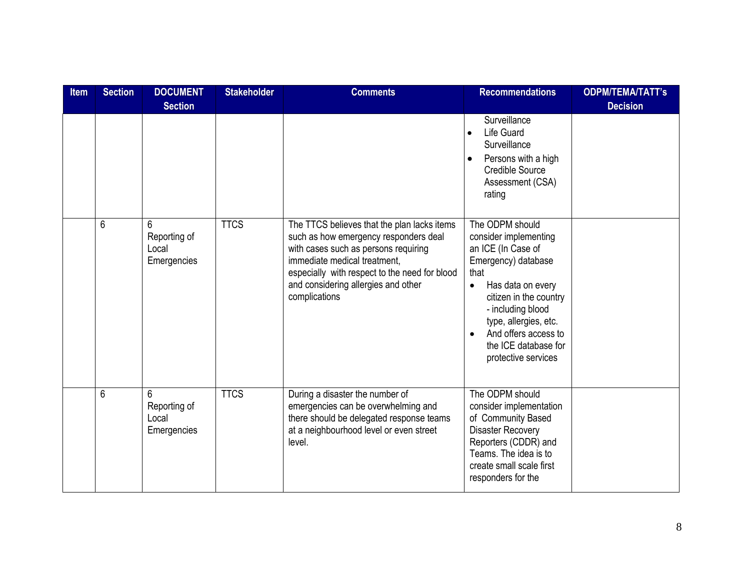| Item | <b>Section</b> | <b>DOCUMENT</b><br><b>Section</b>         | <b>Stakeholder</b> | <b>Comments</b>                                                                                                                                                                                                                                                       | <b>Recommendations</b>                                                                                                                                                                                                                                                                      | <b>ODPM/TEMA/TATT's</b><br><b>Decision</b> |
|------|----------------|-------------------------------------------|--------------------|-----------------------------------------------------------------------------------------------------------------------------------------------------------------------------------------------------------------------------------------------------------------------|---------------------------------------------------------------------------------------------------------------------------------------------------------------------------------------------------------------------------------------------------------------------------------------------|--------------------------------------------|
|      |                |                                           |                    |                                                                                                                                                                                                                                                                       | Surveillance<br><b>Life Guard</b><br>$\bullet$<br>Surveillance<br>Persons with a high<br>$\bullet$<br><b>Credible Source</b><br>Assessment (CSA)<br>rating                                                                                                                                  |                                            |
|      | 6              | 6<br>Reporting of<br>Local<br>Emergencies | <b>TTCS</b>        | The TTCS believes that the plan lacks items<br>such as how emergency responders deal<br>with cases such as persons requiring<br>immediate medical treatment,<br>especially with respect to the need for blood<br>and considering allergies and other<br>complications | The ODPM should<br>consider implementing<br>an ICE (In Case of<br>Emergency) database<br>that<br>Has data on every<br>$\bullet$<br>citizen in the country<br>- including blood<br>type, allergies, etc.<br>And offers access to<br>$\bullet$<br>the ICE database for<br>protective services |                                            |
|      | 6              | 6<br>Reporting of<br>Local<br>Emergencies | <b>TTCS</b>        | During a disaster the number of<br>emergencies can be overwhelming and<br>there should be delegated response teams<br>at a neighbourhood level or even street<br>level.                                                                                               | The ODPM should<br>consider implementation<br>of Community Based<br><b>Disaster Recovery</b><br>Reporters (CDDR) and<br>Teams. The idea is to<br>create small scale first<br>responders for the                                                                                             |                                            |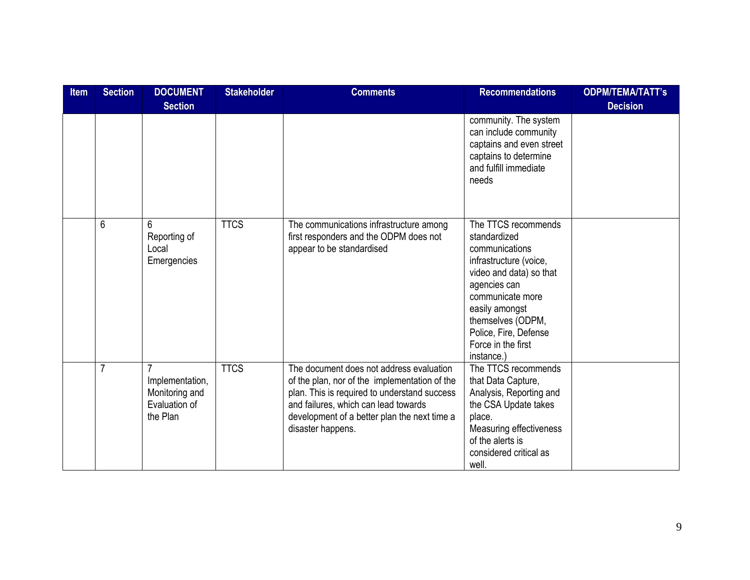| <b>Item</b> | <b>Section</b> | <b>DOCUMENT</b>                                                | <b>Stakeholder</b> | <b>Comments</b>                                                                                                                                                                                                                                        | <b>Recommendations</b>                                                                                                                                                                                                                             | <b>ODPM/TEMA/TATT's</b> |
|-------------|----------------|----------------------------------------------------------------|--------------------|--------------------------------------------------------------------------------------------------------------------------------------------------------------------------------------------------------------------------------------------------------|----------------------------------------------------------------------------------------------------------------------------------------------------------------------------------------------------------------------------------------------------|-------------------------|
|             |                | <b>Section</b>                                                 |                    |                                                                                                                                                                                                                                                        |                                                                                                                                                                                                                                                    | <b>Decision</b>         |
|             |                |                                                                |                    |                                                                                                                                                                                                                                                        | community. The system<br>can include community<br>captains and even street<br>captains to determine<br>and fulfill immediate<br>needs                                                                                                              |                         |
|             | 6              | 6<br>Reporting of<br>Local<br>Emergencies                      | <b>TTCS</b>        | The communications infrastructure among<br>first responders and the ODPM does not<br>appear to be standardised                                                                                                                                         | The TTCS recommends<br>standardized<br>communications<br>infrastructure (voice,<br>video and data) so that<br>agencies can<br>communicate more<br>easily amongst<br>themselves (ODPM,<br>Police, Fire, Defense<br>Force in the first<br>instance.) |                         |
|             | $\overline{7}$ | Implementation,<br>Monitoring and<br>Evaluation of<br>the Plan | <b>TTCS</b>        | The document does not address evaluation<br>of the plan, nor of the implementation of the<br>plan. This is required to understand success<br>and failures, which can lead towards<br>development of a better plan the next time a<br>disaster happens. | The TTCS recommends<br>that Data Capture,<br>Analysis, Reporting and<br>the CSA Update takes<br>place.<br>Measuring effectiveness<br>of the alerts is<br>considered critical as<br>well.                                                           |                         |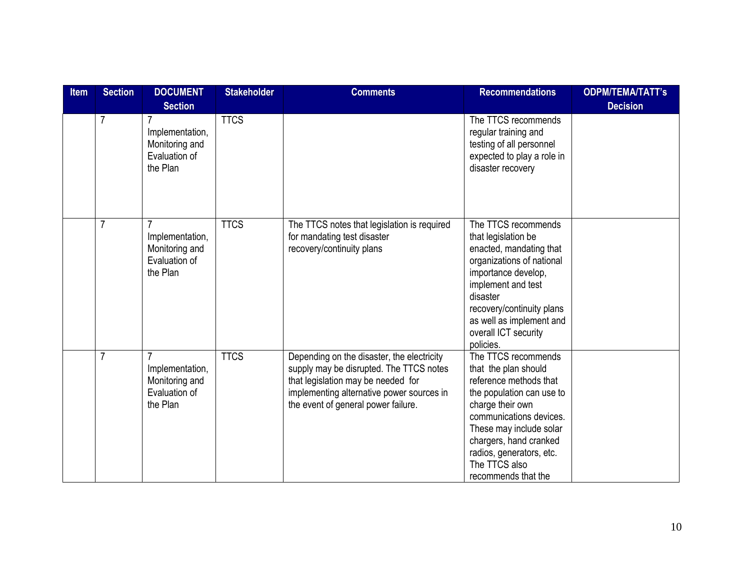| <b>Item</b> | <b>Section</b> | <b>DOCUMENT</b>                                                                                    | <b>Stakeholder</b> | <b>Comments</b>                                                                                                                                                                                                 | <b>Recommendations</b>                                                                                                                                                                                                                                                     | <b>ODPM/TEMA/TATT's</b> |
|-------------|----------------|----------------------------------------------------------------------------------------------------|--------------------|-----------------------------------------------------------------------------------------------------------------------------------------------------------------------------------------------------------------|----------------------------------------------------------------------------------------------------------------------------------------------------------------------------------------------------------------------------------------------------------------------------|-------------------------|
|             | $\overline{7}$ | <b>Section</b><br>$\overline{7}$<br>Implementation,<br>Monitoring and<br>Evaluation of<br>the Plan | <b>TTCS</b>        |                                                                                                                                                                                                                 | The TTCS recommends<br>regular training and<br>testing of all personnel<br>expected to play a role in<br>disaster recovery                                                                                                                                                 | <b>Decision</b>         |
|             | 7              | 7<br>Implementation,<br>Monitoring and<br>Evaluation of<br>the Plan                                | <b>TTCS</b>        | The TTCS notes that legislation is required<br>for mandating test disaster<br>recovery/continuity plans                                                                                                         | The TTCS recommends<br>that legislation be<br>enacted, mandating that<br>organizations of national<br>importance develop,<br>implement and test<br>disaster<br>recovery/continuity plans<br>as well as implement and<br>overall ICT security<br>policies.                  |                         |
|             | $\overline{7}$ | Implementation,<br>Monitoring and<br>Evaluation of<br>the Plan                                     | <b>TTCS</b>        | Depending on the disaster, the electricity<br>supply may be disrupted. The TTCS notes<br>that legislation may be needed for<br>implementing alternative power sources in<br>the event of general power failure. | The TTCS recommends<br>that the plan should<br>reference methods that<br>the population can use to<br>charge their own<br>communications devices.<br>These may include solar<br>chargers, hand cranked<br>radios, generators, etc.<br>The TTCS also<br>recommends that the |                         |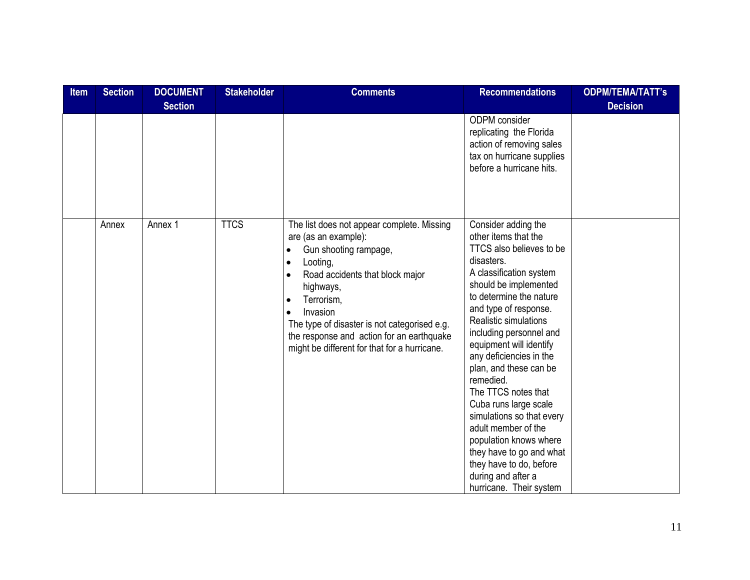| <b>Item</b> | <b>Section</b> | <b>DOCUMENT</b> | <b>Stakeholder</b> | <b>Comments</b>                                                                                                                                                                                                                                                                                                                                                                                 | <b>Recommendations</b>                                                                                                                                                                                                                                                                                                                                                                                                                                                                                                                                                               | <b>ODPM/TEMA/TATT's</b> |
|-------------|----------------|-----------------|--------------------|-------------------------------------------------------------------------------------------------------------------------------------------------------------------------------------------------------------------------------------------------------------------------------------------------------------------------------------------------------------------------------------------------|--------------------------------------------------------------------------------------------------------------------------------------------------------------------------------------------------------------------------------------------------------------------------------------------------------------------------------------------------------------------------------------------------------------------------------------------------------------------------------------------------------------------------------------------------------------------------------------|-------------------------|
|             |                | <b>Section</b>  |                    |                                                                                                                                                                                                                                                                                                                                                                                                 |                                                                                                                                                                                                                                                                                                                                                                                                                                                                                                                                                                                      | <b>Decision</b>         |
|             |                |                 |                    |                                                                                                                                                                                                                                                                                                                                                                                                 | ODPM consider<br>replicating the Florida<br>action of removing sales<br>tax on hurricane supplies<br>before a hurricane hits.                                                                                                                                                                                                                                                                                                                                                                                                                                                        |                         |
|             | Annex          | Annex 1         | <b>TTCS</b>        | The list does not appear complete. Missing<br>are (as an example):<br>Gun shooting rampage,<br>$\bullet$<br>Looting,<br>$\bullet$<br>Road accidents that block major<br>$\bullet$<br>highways,<br>Terrorism,<br>$\bullet$<br>Invasion<br>$\bullet$<br>The type of disaster is not categorised e.g.<br>the response and action for an earthquake<br>might be different for that for a hurricane. | Consider adding the<br>other items that the<br>TTCS also believes to be<br>disasters.<br>A classification system<br>should be implemented<br>to determine the nature<br>and type of response.<br>Realistic simulations<br>including personnel and<br>equipment will identify<br>any deficiencies in the<br>plan, and these can be<br>remedied.<br>The TTCS notes that<br>Cuba runs large scale<br>simulations so that every<br>adult member of the<br>population knows where<br>they have to go and what<br>they have to do, before<br>during and after a<br>hurricane. Their system |                         |